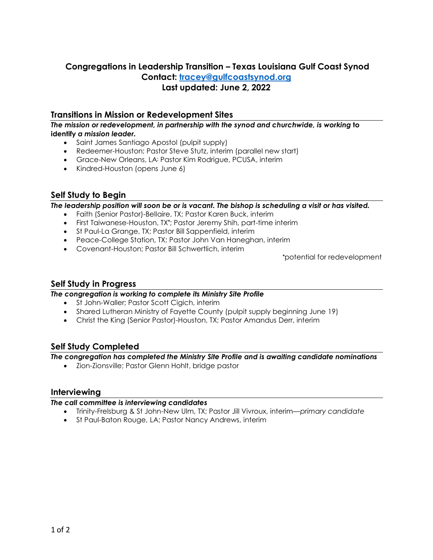# **Congregations in Leadership Transition – Texas Louisiana Gulf Coast Synod Contact: [tracey@gulfcoastsynod.org](mailto:tracey@gulfcoastsynod.org) Last updated: June 2, 2022**

## **Transitions in Mission or Redevelopment Sites**

*The mission or redevelopment, in partnership with the synod and churchwide, is working* **to identify** *a mission leader.*

- Saint James Santiago Apostol (pulpit supply)
- Redeemer-Houston; Pastor Steve Stutz, interim (parallel new start)
- Grace-New Orleans, LA**;** Pastor Kim Rodrigue, PCUSA, interim
- Kindred-Houston (opens June 6)

## **Self Study to Begin**

*The leadership position will soon be or is vacant. The bishop is scheduling a visit or has visited.*

- Faith (Senior Pastor)-Bellaire, TX; Pastor Karen Buck, interim
- First Taiwanese-Houston, TX**\*** ; Pastor Jeremy Shih, part-time interim
- St Paul-La Grange, TX; Pastor Bill Sappenfield, interim
- Peace-College Station, TX; Pastor John Van Haneghan, interim
- Covenant-Houston; Pastor Bill Schwertlich, interim

**\***potential for redevelopment

## **Self Study in Progress**

#### *The congregation is working to complete its Ministry Site Profile*

- St John-Waller; Pastor Scott Cigich, interim
- Shared Lutheran Ministry of Fayette County (pulpit supply beginning June 19)
- Christ the King (Senior Pastor)-Houston, TX; Pastor Amandus Derr, interim

## **Self Study Completed**

*The congregation has completed the Ministry Site Profile and is awaiting candidate nominations*

• Zion-Zionsville; Pastor Glenn Hohlt, bridge pastor

### **Interviewing**

#### *The call committee is interviewing candidates*

- Trinity-Frelsburg & St John-New Ulm, TX; Pastor Jill Vivroux, interim—*primary candidate*
- St Paul-Baton Rouge, LA; Pastor Nancy Andrews, interim